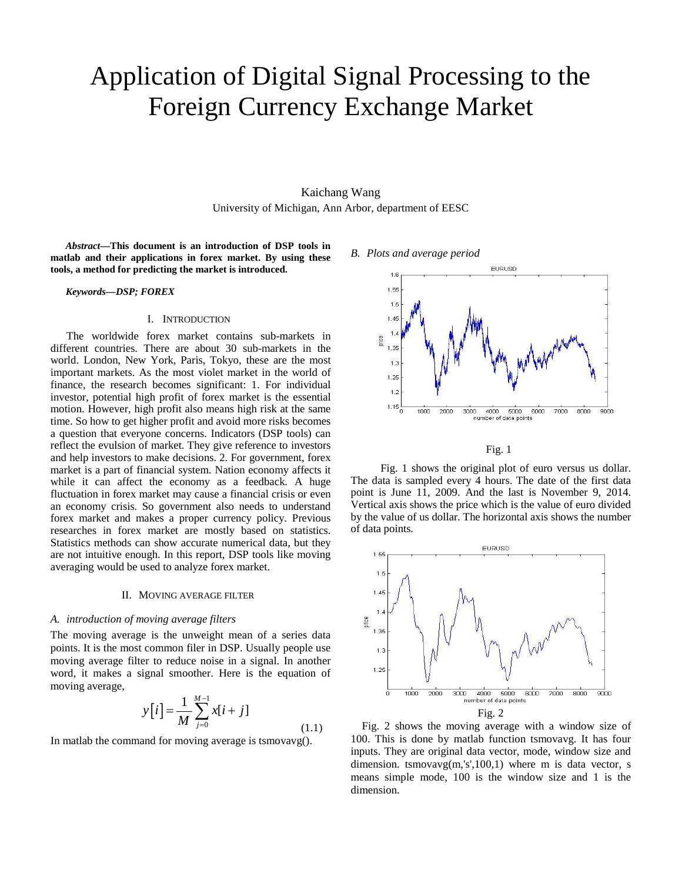# Application of Digital Signal Processing to the Foreign Currency Exchange Market

Kaichang Wang University of Michigan, Ann Arbor, department of EESC

*Abstract***—This document is an introduction of DSP tools in matlab and their applications in forex market. By using these tools, a method for predicting the market is introduced.**

*Keywords—DSP; FOREX*

## I. INTRODUCTION

The worldwide forex market contains sub-markets in different countries. There are about 30 sub-markets in the world. London, New York, Paris, Tokyo, these are the most important markets. As the most violet market in the world of finance, the research becomes significant: 1. For individual investor, potential high profit of forex market is the essential motion. However, high profit also means high risk at the same time. So how to get higher profit and avoid more risks becomes a question that everyone concerns. Indicators (DSP tools) can reflect the evulsion of market. They give reference to investors and help investors to make decisions. 2. For government, forex market is a part of financial system. Nation economy affects it while it can affect the economy as a feedback. A huge fluctuation in forex market may cause a financial crisis or even an economy crisis. So government also needs to understand forex market and makes a proper currency policy. Previous researches in forex market are mostly based on statistics. Statistics methods can show accurate numerical data, but they are not intuitive enough. In this report, DSP tools like moving averaging would be used to analyze forex market.

#### II. MOVING AVERAGE FILTER

## *A. introduction of moving average filters*

The moving average is the unweight mean of a series data points. It is the most common filer in DSP. Usually people use moving average filter to reduce noise in a signal. In another word, it makes a signal smoother. Here is the equation of moving average,

$$
y[i] = \frac{1}{M} \sum_{j=0}^{M-1} x[i+j]
$$
\n(1.1)

In matlab the command for moving average is tsmovavg().

## *B. Plots and average period*



Fig. 1

 Fig. 1 shows the original plot of euro versus us dollar. The data is sampled every 4 hours. The date of the first data point is June 11, 2009. And the last is November 9, 2014. Vertical axis shows the price which is the value of euro divided by the value of us dollar. The horizontal axis shows the number of data points.



 Fig. 2 shows the moving average with a window size of 100. This is done by matlab function tsmovavg. It has four inputs. They are original data vector, mode, window size and dimension. tsmovavg(m,'s',100,1) where m is data vector, s means simple mode, 100 is the window size and 1 is the dimension.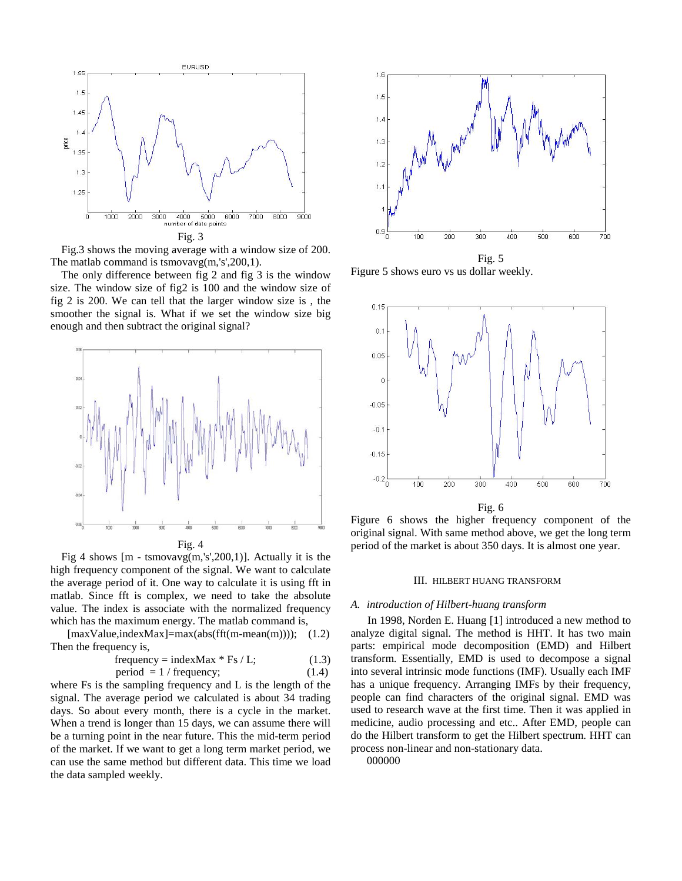

Fig.3 shows the moving average with a window size of 200. The matlab command is tsmovavg(m,'s',200,1).

The only difference between fig 2 and fig 3 is the window size. The window size of fig2 is 100 and the window size of fig 2 is 200. We can tell that the larger window size is , the smoother the signal is. What if we set the window size big enough and then subtract the original signal?





Fig 4 shows  $[m - \text{tsmovavg}(m, 's', 200, 1)]$ . Actually it is the high frequency component of the signal. We want to calculate the average period of it. One way to calculate it is using fft in matlab. Since fft is complex, we need to take the absolute value. The index is associate with the normalized frequency which has the maximum energy. The matlab command is,

 $[\text{maxValue}, \text{indexMax}] = \text{max}(\text{abs}(\text{fft}(m-mean(m))));$  (1.2) Then the frequency is,

frequency = indexMax \* Fs / L; 
$$
1.3
$$
period = 1 / frequency; 
$$
(1.4)
$$

where Fs is the sampling frequency and L is the length of the signal. The average period we calculated is about 34 trading days. So about every month, there is a cycle in the market. When a trend is longer than 15 days, we can assume there will be a turning point in the near future. This the mid-term period of the market. If we want to get a long term market period, we can use the same method but different data. This time we load the data sampled weekly.



Figure 5 shows euro vs us dollar weekly.



Figure 6 shows the higher frequency component of the original signal. With same method above, we get the long term period of the market is about 350 days. It is almost one year.

## III. HILBERT HUANG TRANSFORM

### *A. introduction of Hilbert-huang transform*

 In 1998, Norden E. Huang [1] introduced a new method to analyze digital signal. The method is HHT. It has two main parts: empirical mode decomposition (EMD) and Hilbert transform. Essentially, EMD is used to decompose a signal into several intrinsic mode functions (IMF). Usually each IMF has a unique frequency. Arranging IMFs by their frequency, people can find characters of the original signal. EMD was used to research wave at the first time. Then it was applied in medicine, audio processing and etc.. After EMD, people can do the Hilbert transform to get the Hilbert spectrum. HHT can process non-linear and non-stationary data.

000000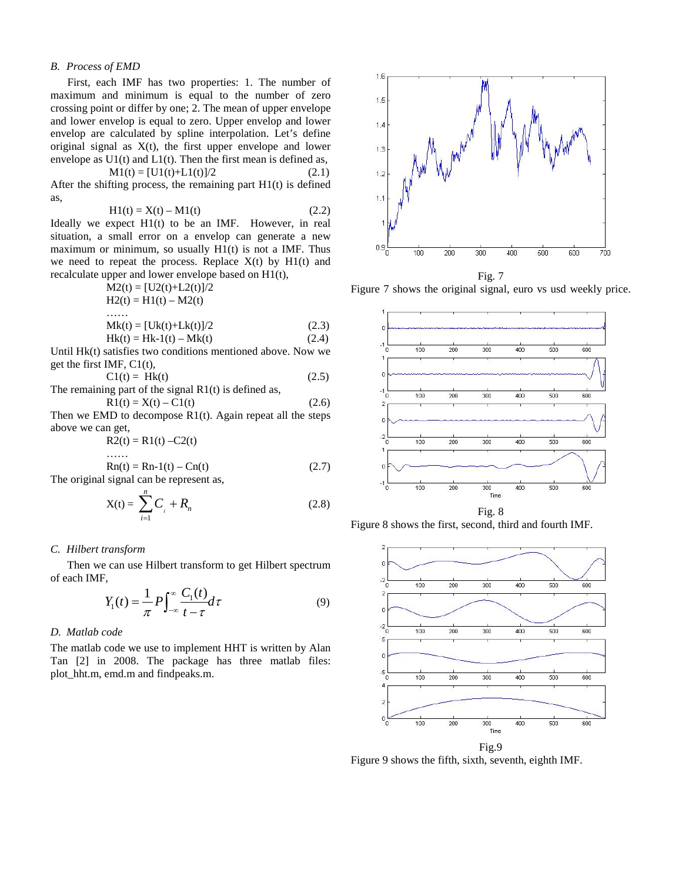## *B. Process of EMD*

 First, each IMF has two properties: 1. The number of maximum and minimum is equal to the number of zero crossing point or differ by one; 2. The mean of upper envelope and lower envelop is equal to zero. Upper envelop and lower envelop are calculated by spline interpolation. Let's define original signal as  $X(t)$ , the first upper envelope and lower envelope as  $U1(t)$  and  $L1(t)$ . Then the first mean is defined as,

$$
M1(t) = [U1(t)+L1(t)]/2
$$
 (2.1)

After the shifting process, the remaining part  $H1(t)$  is defined as,

$$
H1(t) = X(t) - M1(t)
$$
 (2.2)

Ideally we expect H1(t) to be an IMF. However, in real situation, a small error on a envelop can generate a new maximum or minimum, so usually  $H1(t)$  is not a IMF. Thus we need to repeat the process. Replace  $X(t)$  by  $H1(t)$  and recalculate upper and lower envelope based on H1(t),

$$
M2(t) = [U2(t)+L2(t)]/2
$$
  
\n
$$
H2(t) = H1(t) - M2(t)
$$
  
\n........  
\n
$$
Mk(t) = [Uk(t)+Lk(t)]/2
$$
 (2.3)  
\n
$$
Hk(t) = Hk-1(t) - Mk(t)
$$
 (2.4)

Until Hk(t) satisfies two conditions mentioned above. Now we get the first IMF, C1(t),

$$
CI(t) = Hk(t)
$$
 (2.5)

The remaining part of the signal R1(t) is defined as,  

$$
R1(t) = X(t) - C1(t)
$$
(2.6)

Then we EMD to decompose  $R1(t)$ . Again repeat all the steps above we can get,

 $R2(t) = R1(t) - C2(t)$ 

$$
\text{Rn}(t) = \text{Rn-1}(t) - \text{Cn}(t) \tag{2.7}
$$

The original signal can be represent as,

$$
X(t) = \sum_{i=1}^{n} C_i + R_n
$$
 (2.8)

## *C. Hilbert transform*

 Then we can use Hilbert transform to get Hilbert spectrum of each IMF,

$$
Y_1(t) = \frac{1}{\pi} P \int_{-\infty}^{\infty} \frac{C_1(t)}{t - \tau} d\tau
$$
 (9)

## *D. Matlab code*

The matlab code we use to implement HHT is written by Alan Tan [2] in 2008. The package has three matlab files: plot\_hht.m, emd.m and findpeaks.m.



Figure 7 shows the original signal, euro vs usd weekly price.



Figure 8 shows the first, second, third and fourth IMF.



Figure 9 shows the fifth, sixth, seventh, eighth IMF.